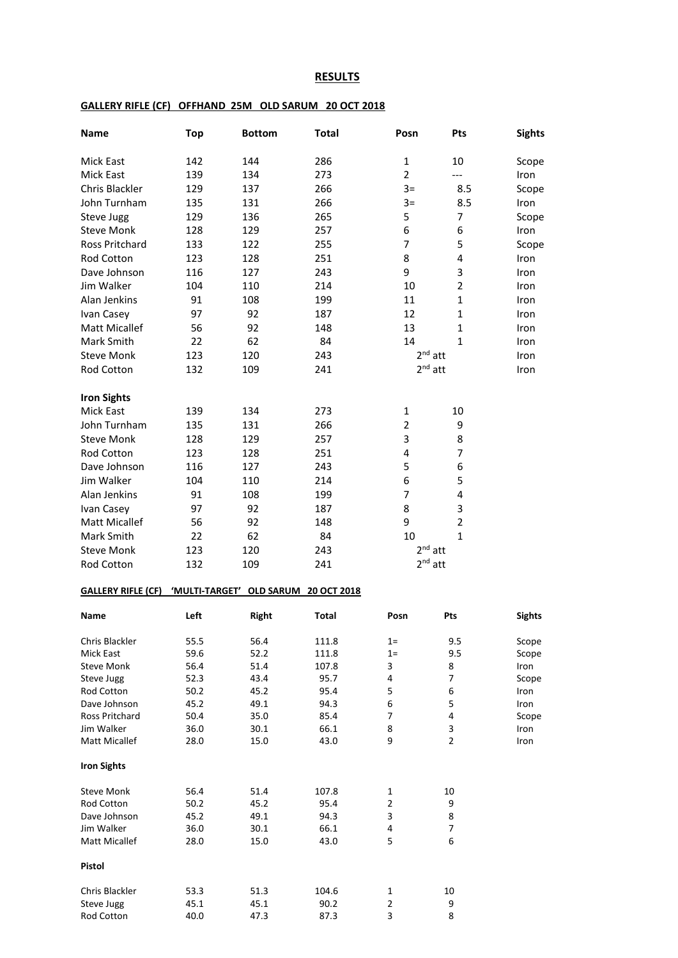## **RESULTS**

| <b>Name</b>                 | <b>Top</b>     | <b>Bottom</b>         | <b>Total</b>           | Posn                    | Pts                 | <b>Sights</b> |
|-----------------------------|----------------|-----------------------|------------------------|-------------------------|---------------------|---------------|
| Mick East                   | 142            | 144                   | 286                    | $\mathbf{1}$            | 10                  | Scope         |
| <b>Mick East</b>            | 139            | 134                   | 273                    | $\overline{2}$          | ---                 | Iron          |
| Chris Blackler              | 129            | 137                   | 266                    | $3=$                    | 8.5                 | Scope         |
| John Turnham                | 135            | 131                   | 266                    | $3=$                    | 8.5                 | Iron          |
| Steve Jugg                  | 129            | 136                   | 265                    | 5                       | 7                   | Scope         |
| <b>Steve Monk</b>           | 128            | 129                   | 257                    | 6                       | 6                   | Iron          |
| Ross Pritchard              | 133            | 122                   | 255                    | 7                       | 5                   | Scope         |
|                             |                |                       |                        |                         |                     |               |
| Rod Cotton                  | 123            | 128                   | 251                    | 8                       | 4                   | Iron          |
| Dave Johnson                | 116            | 127                   | 243                    | 9                       | 3                   | Iron          |
| Jim Walker                  | 104            | 110                   | 214                    | 10                      | $\overline{2}$      | Iron          |
| Alan Jenkins                | 91             | 108                   | 199                    | 11                      | $\mathbf{1}$        | Iron          |
| Ivan Casey                  | 97             | 92                    | 187                    | 12                      | $\mathbf{1}$        | Iron          |
| <b>Matt Micallef</b>        | 56             | 92                    | 148                    | 13                      | 1                   | Iron          |
| Mark Smith                  | 22             | 62                    | 84                     | 14                      | $\mathbf{1}$        | Iron          |
| <b>Steve Monk</b>           | 123            | 120                   | 243                    | $2nd$ att               |                     | Iron          |
| Rod Cotton                  | 132            | 109                   | 241                    | $2nd$ att               |                     | Iron          |
| <b>Iron Sights</b>          |                |                       |                        |                         |                     |               |
| Mick East                   | 139            | 134                   | 273                    | 1                       | 10                  |               |
| John Turnham                | 135            | 131                   | 266                    | $\overline{2}$          | 9                   |               |
| <b>Steve Monk</b>           | 128            | 129                   | 257                    | 3                       | 8                   |               |
| <b>Rod Cotton</b>           | 123            | 128                   | 251                    | $\overline{\mathbf{4}}$ | 7                   |               |
| Dave Johnson                | 116            | 127                   | 243                    | 5                       | 6                   |               |
| Jim Walker                  |                |                       |                        | 6                       | 5                   |               |
|                             | 104            | 110                   | 214                    |                         |                     |               |
| Alan Jenkins                | 91             | 108                   | 199                    | $\overline{7}$          | 4                   |               |
| Ivan Casey                  | 97             | 92                    | 187                    | 8                       | 3                   |               |
| <b>Matt Micallef</b>        | 56             | 92                    | 148                    | 9                       | $\overline{2}$      |               |
| Mark Smith                  | 22             | 62                    | 84                     | 10                      | $\mathbf{1}$        |               |
| <b>Steve Monk</b>           | 123            | 120                   | 243                    | $2nd$ att               |                     |               |
| Rod Cotton                  | 132            | 109                   | 241                    | $2nd$ att               |                     |               |
| <b>GALLERY RIFLE (CF)</b>   | 'MULTI-TARGET' | OLD SARUM 20 OCT 2018 |                        |                         |                     |               |
| Name                        | Left           | <b>Right</b>          | Total                  | Posn                    | Pts                 | <b>Sights</b> |
| Chris Blackler              | 55.5           | 56.4                  | 111.8                  | $1=$                    | 9.5                 | Scope         |
| Mick East                   | 59.6           | 52.2                  | 111.8                  | $1=$                    | 9.5                 | Scope         |
| <b>Steve Monk</b>           | 56.4           | 51.4                  | 3<br>107.8             |                         | 8                   | Iron          |
| Steve Jugg                  | 52.3           | 43.4                  | 4<br>95.7              |                         | 7                   | Scope         |
| Rod Cotton                  | 50.2           | 45.2                  | 5<br>95.4              |                         | 6                   | Iron          |
| Dave Johnson                | 45.2           | 49.1                  | 94.3<br>6              |                         | 5                   | Iron          |
| Ross Pritchard              | 50.4           | 35.0                  | 85.4<br>7              |                         | 4                   | Scope         |
| Jim Walker<br>Matt Micallef | 36.0<br>28.0   | 30.1<br>15.0          | 66.1<br>8<br>9<br>43.0 |                         | 3<br>$\overline{2}$ | Iron<br>Iron  |
| <b>Iron Sights</b>          |                |                       |                        |                         |                     |               |
| <b>Steve Monk</b>           | 56.4           | 51.4                  | 107.8<br>1             |                         | 10                  |               |
| Rod Cotton                  | 50.2           | 45.2                  | $\overline{2}$<br>95.4 |                         | 9                   |               |
| Dave Johnson                | 45.2           | 49.1                  | 3<br>94.3              |                         | 8                   |               |
| Jim Walker                  | 36.0           | 30.1                  | 66.1<br>4              |                         | 7                   |               |
| Matt Micallef               | 28.0           | 15.0                  | 5<br>43.0              |                         | 6                   |               |
| Pistol                      |                |                       |                        |                         |                     |               |
| Chris Blackler              | 53.3           | 51.3                  | 104.6<br>$\mathbf 1$   |                         | 10                  |               |
| Steve Jugg                  | 45.1           | 45.1                  | 2<br>90.2              |                         | 9                   |               |
| Rod Cotton                  | 40.0           | 47.3                  | 3<br>87.3              |                         | 8                   |               |

## **GALLERY RIFLE (CF) OFFHAND 25M OLD SARUM 20 OCT 2018**